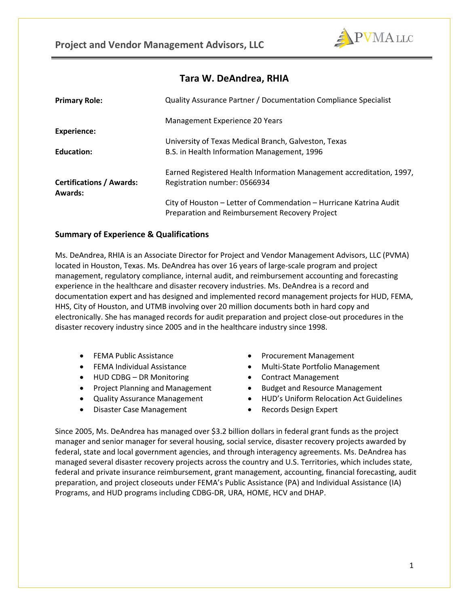

# **Tara W. DeAndrea, RHIA**

| <b>Primary Role:</b>                       | Quality Assurance Partner / Documentation Compliance Specialist                                                      |
|--------------------------------------------|----------------------------------------------------------------------------------------------------------------------|
|                                            | Management Experience 20 Years                                                                                       |
| <b>Experience:</b>                         |                                                                                                                      |
|                                            | University of Texas Medical Branch, Galveston, Texas                                                                 |
| Education:                                 | B.S. in Health Information Management, 1996                                                                          |
|                                            | Earned Registered Health Information Management accreditation, 1997,                                                 |
| <b>Certifications / Awards:</b><br>Awards: | Registration number: 0566934                                                                                         |
|                                            | City of Houston - Letter of Commendation - Hurricane Katrina Audit<br>Preparation and Reimbursement Recovery Project |

# **Summary of Experience & Qualifications**

Ms. DeAndrea, RHIA is an Associate Director for Project and Vendor Management Advisors, LLC (PVMA) located in Houston, Texas. Ms. DeAndrea has over 16 years of large-scale program and project management, regulatory compliance, internal audit, and reimbursement accounting and forecasting experience in the healthcare and disaster recovery industries. Ms. DeAndrea is a record and documentation expert and has designed and implemented record management projects for HUD, FEMA, HHS, City of Houston, and UTMB involving over 20 million documents both in hard copy and electronically. She has managed records for audit preparation and project close-out procedures in the disaster recovery industry since 2005 and in the healthcare industry since 1998.

- FEMA Public Assistance
- FEMA Individual Assistance
- HUD CDBG DR Monitoring
- Project Planning and Management
- Quality Assurance Management
- Disaster Case Management
- Procurement Management
- Multi-State Portfolio Management
- Contract Management
- Budget and Resource Management
- HUD's Uniform Relocation Act Guidelines
- Records Design Expert

Since 2005, Ms. DeAndrea has managed over \$3.2 billion dollars in federal grant funds as the project manager and senior manager for several housing, social service, disaster recovery projects awarded by federal, state and local government agencies, and through interagency agreements. Ms. DeAndrea has managed several disaster recovery projects across the country and U.S. Territories, which includes state, federal and private insurance reimbursement, grant management, accounting, financial forecasting, audit preparation, and project closeouts under FEMA's Public Assistance (PA) and Individual Assistance (IA) Programs, and HUD programs including CDBG-DR, URA, HOME, HCV and DHAP.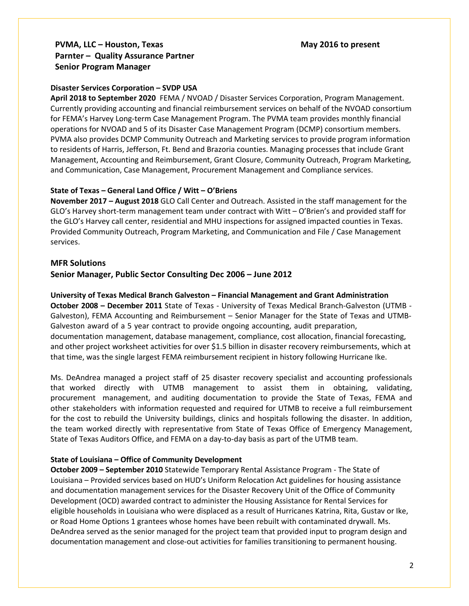# PVMA, LLC – Houston, Texas **May 2016** to present **Parnter – Quality Assurance Partner Senior Program Manager**

## **Disaster Services Corporation – SVDP USA**

**April 2018 to September 2020** FEMA / NVOAD / Disaster Services Corporation, Program Management. Currently providing accounting and financial reimbursement services on behalf of the NVOAD consortium for FEMA's Harvey Long-term Case Management Program. The PVMA team provides monthly financial operations for NVOAD and 5 of its Disaster Case Management Program (DCMP) consortium members. PVMA also provides DCMP Community Outreach and Marketing services to provide program information to residents of Harris, Jefferson, Ft. Bend and Brazoria counties. Managing processes that include Grant Management, Accounting and Reimbursement, Grant Closure, Community Outreach, Program Marketing, and Communication, Case Management, Procurement Management and Compliance services.

## **State of Texas – General Land Office / Witt – O'Briens**

**November 2017 – August 2018** GLO Call Center and Outreach. Assisted in the staff management for the GLO's Harvey short-term management team under contract with Witt – O'Brien's and provided staff for the GLO's Harvey call center, residential and MHU inspections for assigned impacted counties in Texas. Provided Community Outreach, Program Marketing, and Communication and File / Case Management services.

## **MFR Solutions**

## **Senior Manager, Public Sector Consulting Dec 2006 – June 2012**

**University of Texas Medical Branch Galveston – Financial Management and Grant Administration October 2008 – December 2011** State of Texas - University of Texas Medical Branch-Galveston (UTMB - Galveston), FEMA Accounting and Reimbursement – Senior Manager for the State of Texas and UTMB-Galveston award of a 5 year contract to provide ongoing accounting, audit preparation, documentation management, database management, compliance, cost allocation, financial forecasting, and other project worksheet activities for over \$1.5 billion in disaster recovery reimbursements, which at that time, was the single largest FEMA reimbursement recipient in history following Hurricane Ike.

Ms. DeAndrea managed a project staff of 25 disaster recovery specialist and accounting professionals that worked directly with UTMB management to assist them in obtaining, validating, procurement management, and auditing documentation to provide the State of Texas, FEMA and other stakeholders with information requested and required for UTMB to receive a full reimbursement for the cost to rebuild the University buildings, clinics and hospitals following the disaster. In addition, the team worked directly with representative from State of Texas Office of Emergency Management, State of Texas Auditors Office, and FEMA on a day-to-day basis as part of the UTMB team.

### **State of Louisiana – Office of Community Development**

**October 2009 – September 2010** Statewide Temporary Rental Assistance Program - The State of Louisiana – Provided services based on HUD's Uniform Relocation Act guidelines for housing assistance and documentation management services for the Disaster Recovery Unit of the Office of Community Development (OCD) awarded contract to administer the Housing Assistance for Rental Services for eligible households in Louisiana who were displaced as a result of Hurricanes Katrina, Rita, Gustav or Ike, or Road Home Options 1 grantees whose homes have been rebuilt with contaminated drywall. Ms. DeAndrea served as the senior managed for the project team that provided input to program design and documentation management and close-out activities for families transitioning to permanent housing.